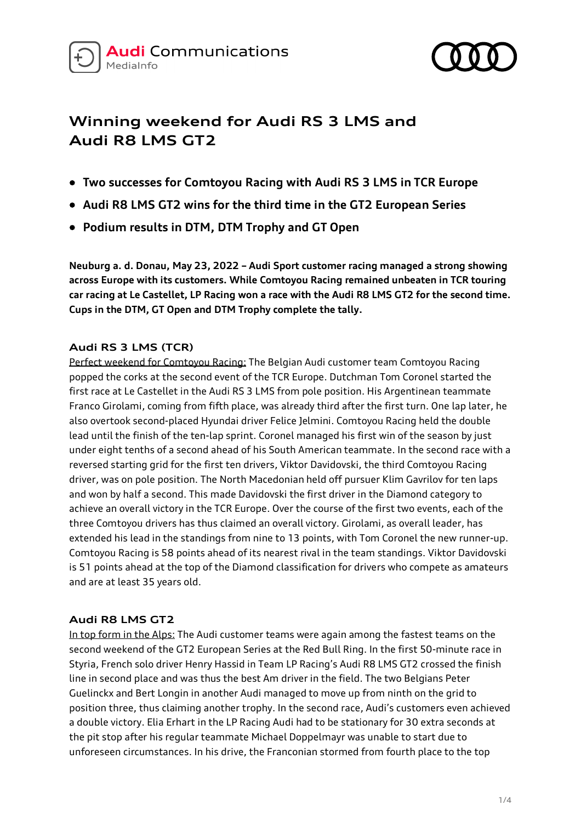



# **Winning weekend for Audi RS 3 LMS and Audi R8 LMS GT2**

- **Two successes for Comtoyou Racing with Audi RS 3 LMS in TCR Europe**
- **Audi R8 LMS GT2 wins for the third time in the GT2 European Series**
- **Podium results in DTM, DTM Trophy and GT Open**

**Neuburg a. d. Donau, May 23, 2022 – Audi Sport customer racing managed a strong showing across Europe with its customers. While Comtoyou Racing remained unbeaten in TCR touring car racing at Le Castellet, LP Racing won a race with the Audi R8 LMS GT2 for the second time. Cups in the DTM, GT Open and DTM Trophy complete the tally.**

## **Audi RS 3 LMS (TCR)**

Perfect weekend for Comtoyou Racing: The Belgian Audi customer team Comtoyou Racing popped the corks at the second event of the TCR Europe. Dutchman Tom Coronel started the first race at Le Castellet in the Audi RS 3 LMS from pole position. His Argentinean teammate Franco Girolami, coming from fifth place, was already third after the first turn. One lap later, he also overtook second-placed Hyundai driver Felice Jelmini. Comtoyou Racing held the double lead until the finish of the ten-lap sprint. Coronel managed his first win of the season by just under eight tenths of a second ahead of his South American teammate. In the second race with a reversed starting grid for the first ten drivers, Viktor Davidovski, the third Comtoyou Racing driver, was on pole position. The North Macedonian held off pursuer Klim Gavrilov for ten laps and won by half a second. This made Davidovski the first driver in the Diamond category to achieve an overall victory in the TCR Europe. Over the course of the first two events, each of the three Comtoyou drivers has thus claimed an overall victory. Girolami, as overall leader, has extended his lead in the standings from nine to 13 points, with Tom Coronel the new runner-up. Comtoyou Racing is 58 points ahead of its nearest rival in the team standings. Viktor Davidovski is 51 points ahead at the top of the Diamond classification for drivers who compete as amateurs and are at least 35 years old.

## **Audi R8 LMS GT2**

In top form in the Alps: The Audi customer teams were again among the fastest teams on the second weekend of the GT2 European Series at the Red Bull Ring. In the first 50-minute race in Styria, French solo driver Henry Hassid in Team LP Racing's Audi R8 LMS GT2 crossed the finish line in second place and was thus the best Am driver in the field. The two Belgians Peter Guelinckx and Bert Longin in another Audi managed to move up from ninth on the grid to position three, thus claiming another trophy. In the second race, Audi's customers even achieved a double victory. Elia Erhart in the LP Racing Audi had to be stationary for 30 extra seconds at the pit stop after his regular teammate Michael Doppelmayr was unable to start due to unforeseen circumstances. In his drive, the Franconian stormed from fourth place to the top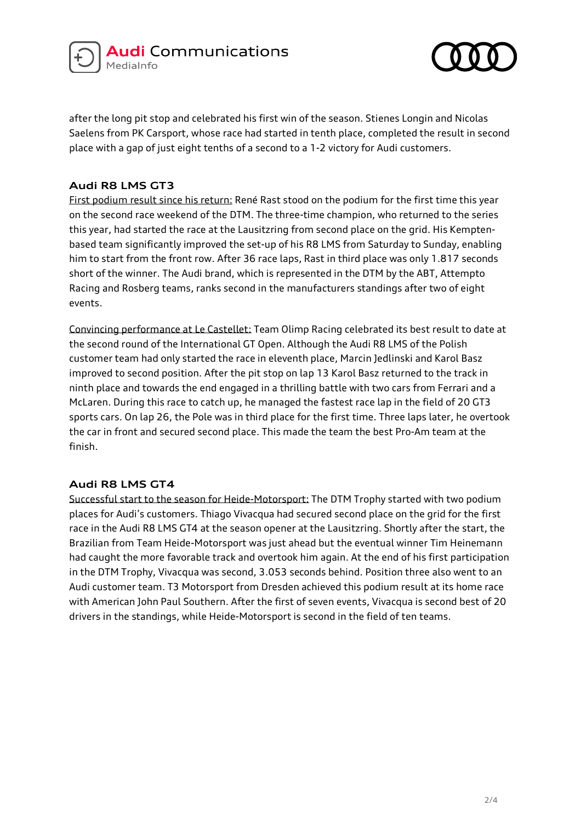



after the long pit stop and celebrated his first win of the season. Stienes Longin and Nicolas Saelens from PK Carsport, whose race had started in tenth place, completed the result in second place with a gap of just eight tenths of a second to a 1-2 victory for Audi customers.

## **Audi R8 LMS GT3**

First podium result since his return: René Rast stood on the podium for the first time this year on the second race weekend of the DTM. The three-time champion, who returned to the series this year, had started the race at the Lausitzring from second place on the grid. His Kemptenbased team significantly improved the set-up of his R8 LMS from Saturday to Sunday, enabling him to start from the front row. After 36 race laps, Rast in third place was only 1.817 seconds short of the winner. The Audi brand, which is represented in the DTM by the ABT, Attempto Racing and Rosberg teams, ranks second in the manufacturers standings after two of eight events.

Convincing performance at Le Castellet: Team Olimp Racing celebrated its best result to date at the second round of the International GT Open. Although the Audi R8 LMS of the Polish customer team had only started the race in eleventh place, Marcin Jedlinski and Karol Basz improved to second position. After the pit stop on lap 13 Karol Basz returned to the track in ninth place and towards the end engaged in a thrilling battle with two cars from Ferrari and a McLaren. During this race to catch up, he managed the fastest race lap in the field of 20 GT3 sports cars. On lap 26, the Pole was in third place for the first time. Three laps later, he overtook the car in front and secured second place. This made the team the best Pro-Am team at the finish.

## **Audi R8 LMS GT4**

Successful start to the season for Heide-Motorsport: The DTM Trophy started with two podium places for Audi's customers. Thiago Vivacqua had secured second place on the grid for the first race in the Audi R8 LMS GT4 at the season opener at the Lausitzring. Shortly after the start, the Brazilian from Team Heide-Motorsport was just ahead but the eventual winner Tim Heinemann had caught the more favorable track and overtook him again. At the end of his first participation in the DTM Trophy, Vivacqua was second, 3.053 seconds behind. Position three also went to an Audi customer team. T3 Motorsport from Dresden achieved this podium result at its home race with American John Paul Southern. After the first of seven events, Vivacqua is second best of 20 drivers in the standings, while Heide-Motorsport is second in the field of ten teams.